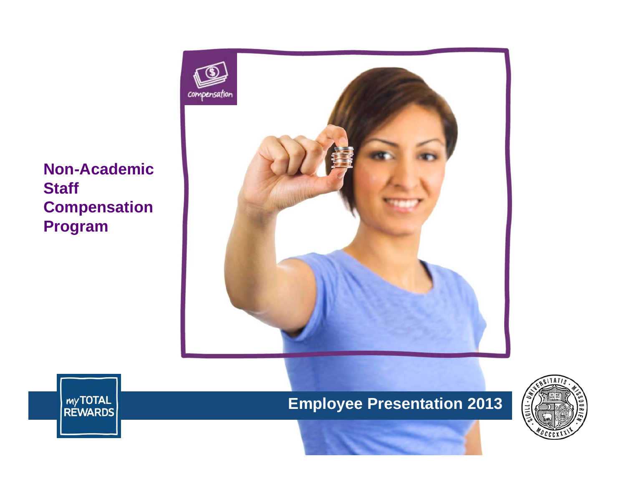**Non-Academic Staff Compensation Program**





**Employee Presentation 2013**

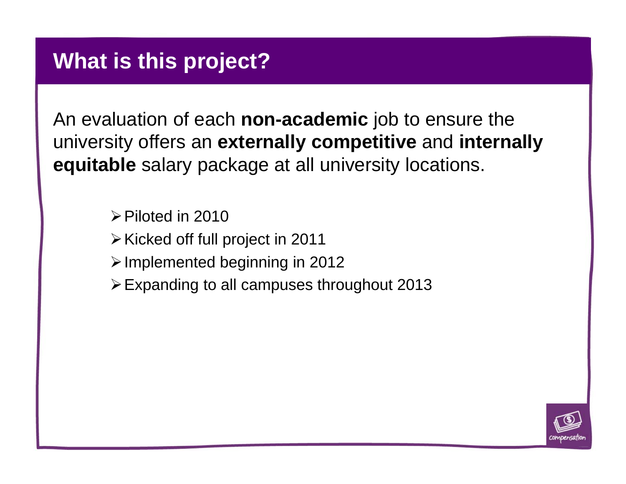#### **What is this project?**

An evaluation of each **non-academic** job to ensure the university offers an **externally competitive** and **internally equitable** salary package at all university locations.

 $\triangleright$  Piloted in 2010

- $\triangleright$  Kicked off full project in 2011
- $\triangleright$  Implemented beginning in 2012
- Expanding to all campuses throughout 2013

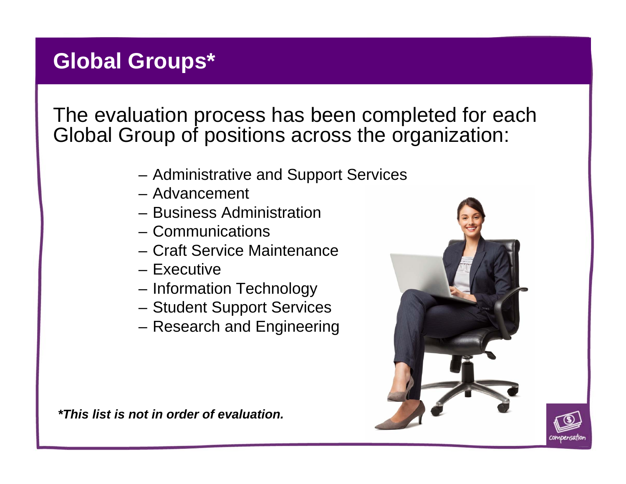# **Global Groups\***

The evaluation process has been completed for each Global Group of positions across the organization:

- Administrative and Support Services
- Advancement
- Business Administration
- Communications
- Craft Service Maintenance
- Executive
- Information Technology
- Student Support Services
- Research and Engineering

*\*This list is not in order of evaluation.* 



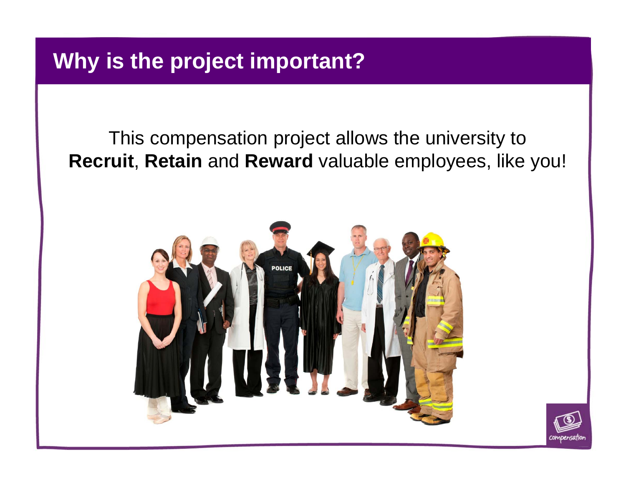# **Why is the project important?**

This compensation project allows the university to **Recruit**, **Retain** and **Reward** valuable employees, like you!



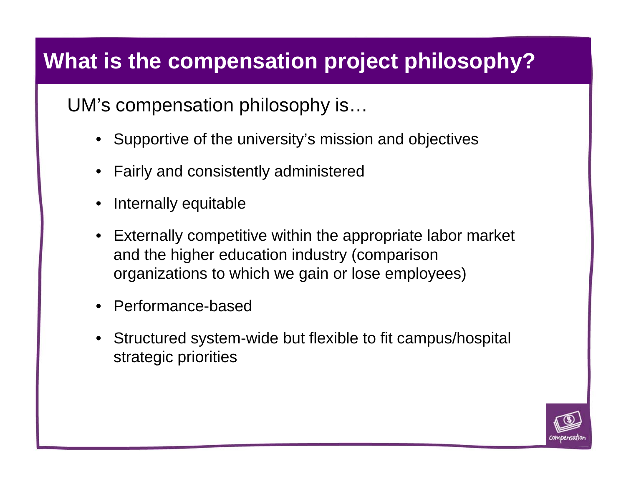# **What is the compensation project philosophy?**

UM's compensation philosophy is…

- Supportive of the university's mission and objectives
- •Fairly and consistently administered
- •Internally equitable
- Externally competitive within the appropriate labor market and the higher education industry (comparison organizations to which we gain or lose employees)
- •Performance-based
- • Structured system-wide but flexible to fit campus/hospital strategic priorities

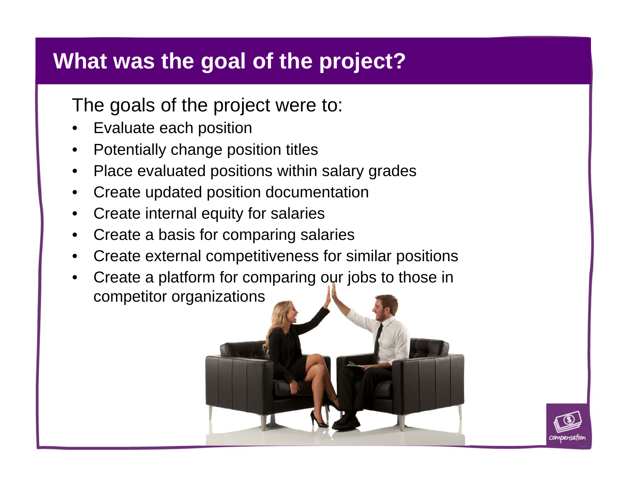## **What was the goal of the project?**

The goals of the project were to:

- •Evaluate each position
- •Potentially change position titles
- •Place evaluated positions within salary grades
- •Create updated position documentation
- •Create internal equity for salaries
- •Create a basis for comparing salaries
- •Create external competitiveness for similar positions
- • Create a platform for comparing our jobs to those in competitor organizations

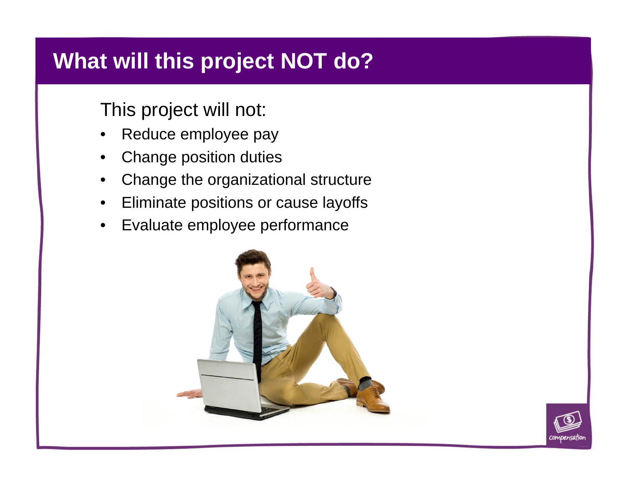# **What will this project NOT do?**

#### This project will not:

- $\bullet$ Reduce employee pay
- •Change position duties
- $\bullet$ Change the organizational structure
- •Eliminate positions or cause layoffs
- $\bullet$ Evaluate employee performance



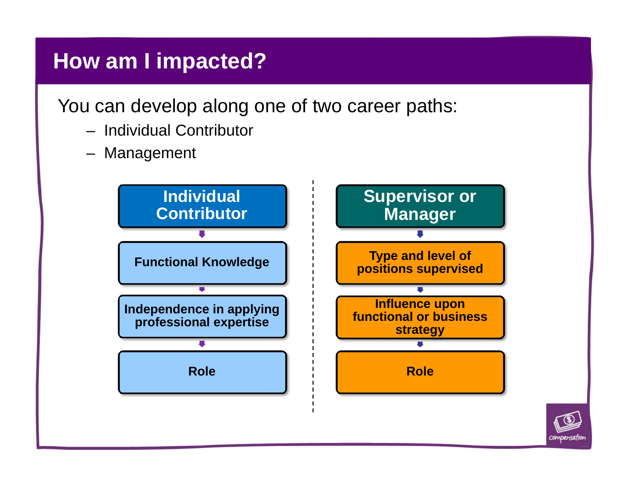### **How am I impacted?**

You can develop along one of two career paths:

- Individual Contributor
- Management

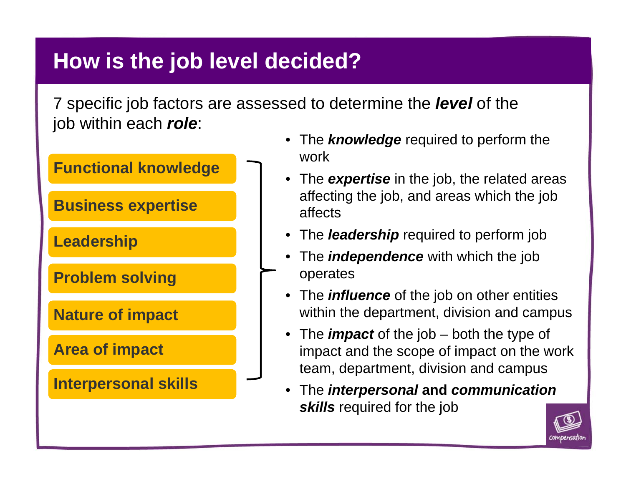# **How is the job level decided?**

7 specific job factors are assessed to determine the *level* of the job within each *role*:



- The *knowledge* required to perform the work
- The *expertise* in the job, the related areas affecting the job, and areas which the job affects
- The *leadership* required to perform job
- The *independence* with which the job operates
- The *influence* of the job on other entities within the department, division and campus
- The *impact* of the job both the type of impact and the scope of impact on the work team, department, division and campus
- • The *interpersonal* **and** *communication skills* required for the job

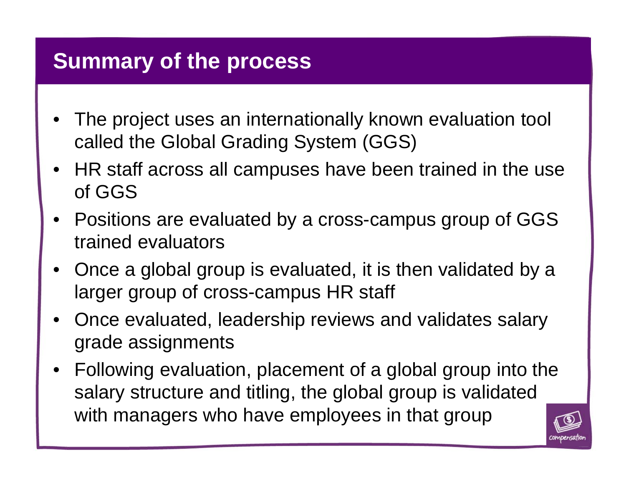#### **Summary of the process**

- • The project uses an internationally known evaluation tool called the Global Grading System (GGS)
- HR staff across all campuses have been trained in the use of GGS
- $\bullet$  Positions are evaluated by a cross-campus group of GGS trained evaluators
- • Once a global group is evaluated, it is then validated by a larger group of cross-campus HR staff
- • Once evaluated, leadership reviews and validates salary grade assignments
- $\bullet$  Following evaluation, placement of a global group into the salary structure and titling, the global group is validated with managers who have employees in that group

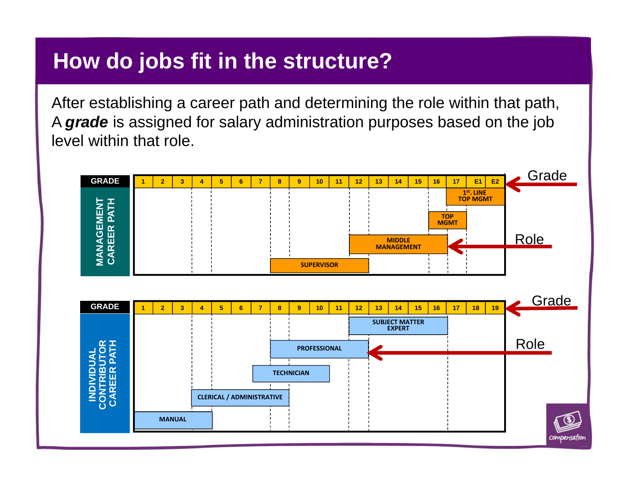#### **How do jobs fit in the structure?**

After establishing a career path and determining the role within that path, A *grade* is assigned for salary administration purposes based on the job level within that role.

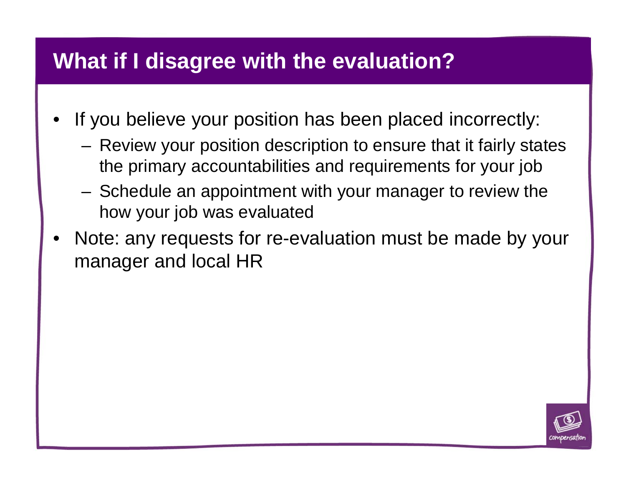#### **What if I disagree with the evaluation?**

- • If you believe your position has been placed incorrectly:
	- – Review your position description to ensure that it fairly states the primary accountabilities and requirements for your job
	- – Schedule an appointment with your manager to review the how your job was evaluated
- • Note: any requests for re-evaluation must be made by your manager and local HR

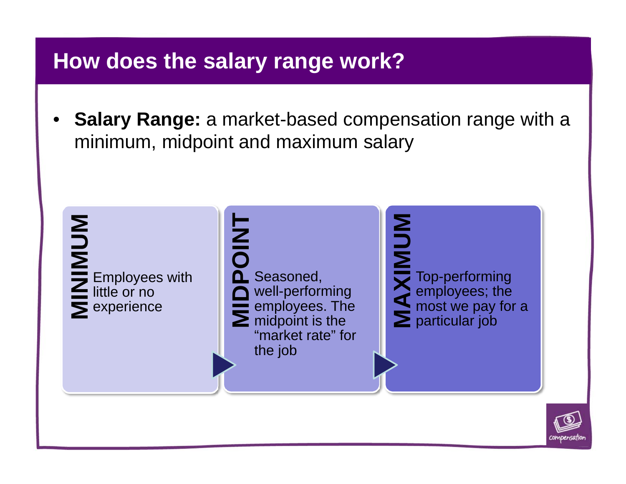### **How does the salary range work?**

• **Salary Range:** a market-based compensation range with a minimum, midpoint and maximum salary



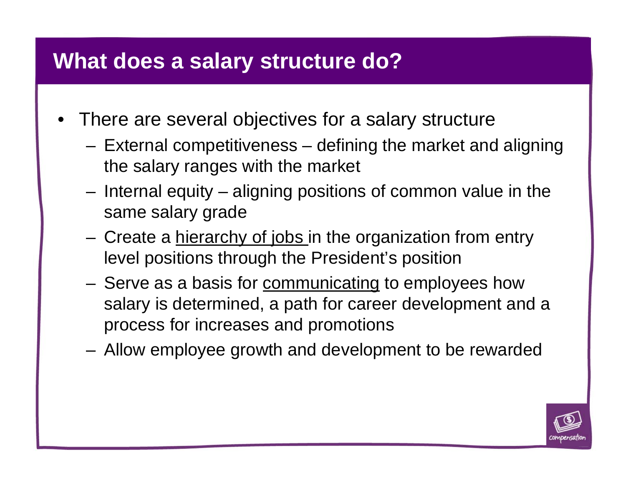#### **What does a salary structure do?**

- There are several objectives for a salary structure
	- – External competitiveness – defining the market and aligning the salary ranges with the market
	- – Internal equity – aligning positions of common value in the same salary grade
	- –Create a hierarchy of jobs in the organization from entry level positions through the President's position
	- –Serve as a basis for communicating to employees how salary is determined, a path for career development and a process for increases and promotions
	- –Allow employee growth and development to be rewarded

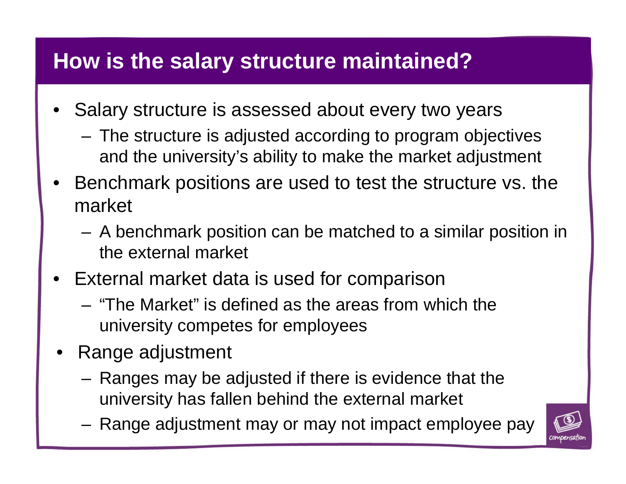### **How is the salary structure maintained?**

- • Salary structure is assessed about every two years
	- – The structure is adjusted according to program objectives and the university's ability to make the market adjustment
- • Benchmark positions are used to test the structure vs. the market
	- – A benchmark position can be matched to a similar position in the external market
- • External market data is used for comparison
	- "The Market" is defined as the areas from which the university competes for employees
- • Range adjustment
	- – Ranges may be adjusted if there is evidence that the university has fallen behind the external market
	- –Range adjustment may or may not impact employee pay

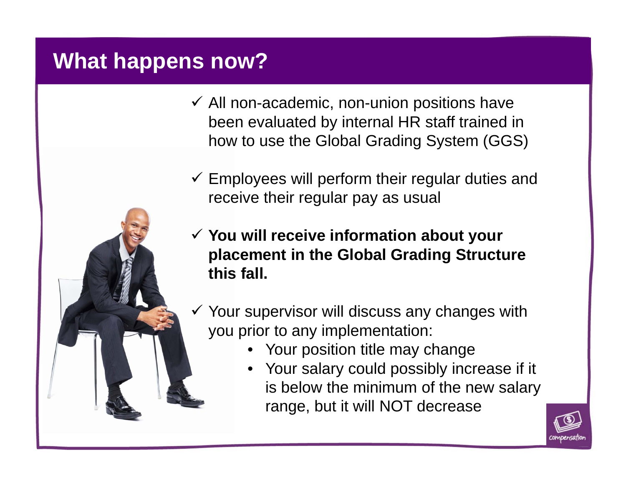### **What happens now?**

- $\checkmark$  All non-academic, non-union positions have been evaluated by internal HR staff trained in how to use the Global Grading System (GGS)
- $\checkmark$  Employees will perform their regular duties and receive their regular pay as usual
- **You will receive information about your placement in the Global Grading Structure this fall.**
- $\checkmark$  Your supervisor will discuss any changes with you prior to any implementation:
	- •Your position title may change
	- • Your salary could possibly increase if it is below the minimum of the new salary range, but it will NOT decrease

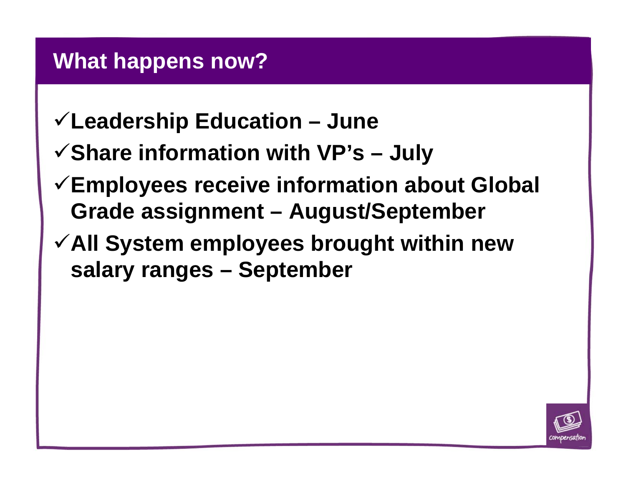#### **What happens now?**

- **Leadership Education – June**
- **Share information with VP's – July**
- **Employees receive information about Global Grade assignment – August/September**
- **All System employees brought within new salary ranges – September**